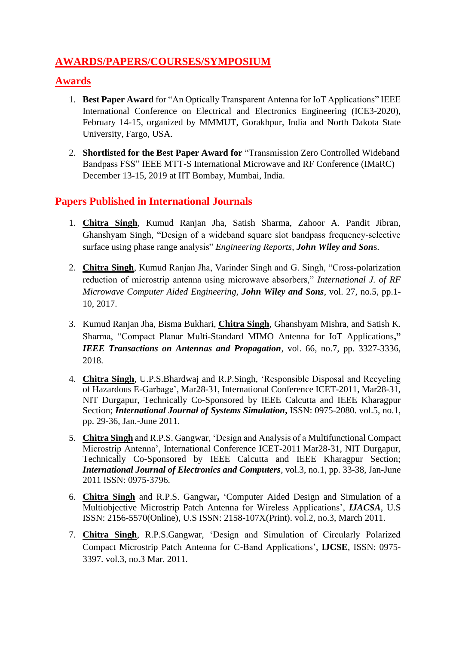## **AWARDS/PAPERS/COURSES/SYMPOSIUM**

### **Awards**

- 1. **Best Paper Award** for "An Optically Transparent Antenna for IoT Applications" IEEE International Conference on Electrical and Electronics Engineering (ICE3-2020), February 14-15, organized by MMMUT, Gorakhpur, India and North Dakota State University, Fargo, USA.
- 2. **Shortlisted for the Best Paper Award for** "Transmission Zero Controlled Wideband Bandpass FSS" IEEE MTT-S International Microwave and RF Conference (IMaRC) December 13-15, 2019 at IIT Bombay, Mumbai, India.

### **Papers Published in International Journals**

- 1. **Chitra Singh**, Kumud Ranjan Jha, Satish Sharma, Zahoor A. Pandit Jibran, Ghanshyam Singh, "Design of a wideband square slot bandpass frequency‐selective surface using phase range analysis" *Engineering Reports*, *John Wiley and Son*s.
- 2. **Chitra Singh**, Kumud Ranjan Jha, Varinder Singh and G. Singh, "Cross-polarization reduction of microstrip antenna using microwave absorbers," *International J. of RF Microwave Computer Aided Engineering, John Wiley and Sons*, vol. 27, no.5, pp.1- 10, 2017.
- 3. Kumud Ranjan Jha, Bisma Bukhari, **Chitra Singh**, Ghanshyam Mishra, and Satish K. Sharma, "Compact Planar Multi-Standard MIMO Antenna for IoT Applications**,"**  *IEEE Transactions on Antennas and Propagation*, vol. 66, no.7, pp. 3327-3336, 2018.
- 4. **Chitra Singh**, U.P.S.Bhardwaj and R.P.Singh, 'Responsible Disposal and Recycling of Hazardous E-Garbage', Mar28-31, International Conference ICET-2011, Mar28-31, NIT Durgapur, Technically Co-Sponsored by IEEE Calcutta and IEEE Kharagpur Section; *International Journal of Systems Simulation*, *ISSN*: 0975-2080. vol.5, no.1, pp. 29-36, Jan.-June 2011.
- 5. **Chitra Singh** and R.P.S. Gangwar, 'Design and Analysis of a Multifunctional Compact Microstrip Antenna', International Conference ICET-2011 Mar28-31, NIT Durgapur, Technically Co-Sponsored by IEEE Calcutta and IEEE Kharagpur Section; *International Journal of Electronics and Computers*, vol.3, no.1, pp. 33-38, Jan-June 2011 ISSN: 0975-3796.
- 6. **Chitra Singh** and R.P.S. Gangwar**,** 'Computer Aided Design and Simulation of a Multiobjective Microstrip Patch Antenna for Wireless Applications', *IJACSA*, U.S ISSN: 2156-5570(Online), U.S ISSN: 2158-107X(Print). vol.2, no.3, March 2011.
- 7. **Chitra Singh**, R.P.S.Gangwar, 'Design and Simulation of Circularly Polarized Compact Microstrip Patch Antenna for C-Band Applications', **IJCSE**, ISSN: 0975- 3397. vol.3, no.3 Mar. 2011.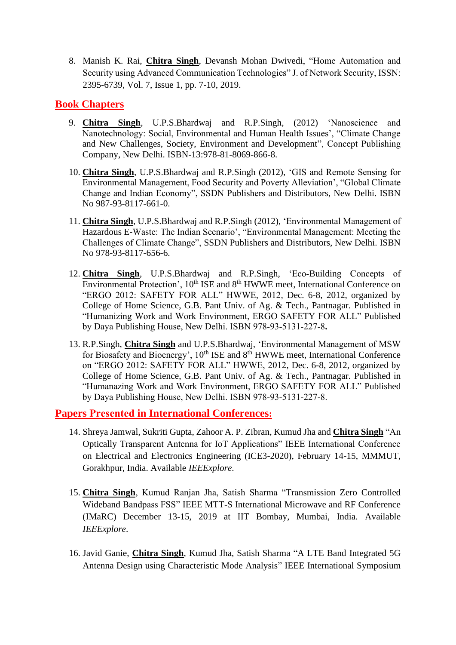8. Manish K. Rai, **Chitra Singh**, Devansh Mohan Dwivedi, "Home Automation and Security using Advanced Communication Technologies" J. of Network Security, ISSN: 2395-6739, Vol. 7, Issue 1, pp. 7-10, 2019.

#### **Book Chapters**

- 9. **Chitra Singh**, U.P.S.Bhardwaj and R.P.Singh, (2012) 'Nanoscience and Nanotechnology: Social, Environmental and Human Health Issues', "Climate Change and New Challenges, Society, Environment and Development", Concept Publishing Company, New Delhi. ISBN-13:978-81-8069-866-8.
- 10. **Chitra Singh**, U.P.S.Bhardwaj and R.P.Singh (2012), 'GIS and Remote Sensing for Environmental Management, Food Security and Poverty Alleviation', "Global Climate Change and Indian Economy", SSDN Publishers and Distributors, New Delhi. ISBN No 987-93-8117-661-0.
- 11. **Chitra Singh**, U.P.S.Bhardwaj and R.P.Singh (2012), 'Environmental Management of Hazardous E-Waste: The Indian Scenario', "Environmental Management: Meeting the Challenges of Climate Change", SSDN Publishers and Distributors, New Delhi. ISBN No 978-93-8117-656-6.
- 12. **Chitra Singh**, U.P.S.Bhardwaj and R.P.Singh, 'Eco-Building Concepts of Environmental Protection', 10<sup>th</sup> ISE and 8<sup>th</sup> HWWE meet, International Conference on "ERGO 2012: SAFETY FOR ALL" HWWE, 2012*,* Dec. 6-8, 2012, organized by College of Home Science, G.B. Pant Univ. of Ag. & Tech., Pantnagar. Published in "Humanizing Work and Work Environment, ERGO SAFETY FOR ALL" Published by Daya Publishing House, New Delhi. ISBN 978-93-5131-227-8**.**
- 13. R.P.Singh, **Chitra Singh** and U.P.S.Bhardwaj, 'Environmental Management of MSW for Biosafety and Bioenergy', 10<sup>th</sup> ISE and 8<sup>th</sup> HWWE meet, International Conference on "ERGO 2012: SAFETY FOR ALL" HWWE, 2012*,* Dec. 6-8, 2012, organized by College of Home Science, G.B. Pant Univ. of Ag. & Tech., Pantnagar. Published in "Humanazing Work and Work Environment, ERGO SAFETY FOR ALL" Published by Daya Publishing House, New Delhi. ISBN 978-93-5131-227-8.

#### **Papers Presented in International Conferences:**

- 14. Shreya Jamwal, Sukriti Gupta, Zahoor A. P. Zibran, Kumud Jha and **Chitra Singh** "An Optically Transparent Antenna for IoT Applications" IEEE International Conference on Electrical and Electronics Engineering (ICE3-2020), February 14-15, MMMUT, Gorakhpur, India. Available *IEEExplore*.
- 15. **Chitra Singh**, Kumud Ranjan Jha, Satish Sharma "Transmission Zero Controlled Wideband Bandpass FSS" IEEE MTT-S International Microwave and RF Conference (IMaRC) December 13-15, 2019 at IIT Bombay, Mumbai, India. Available *IEEExplore*.
- 16. Javid Ganie, **Chitra Singh**, Kumud Jha, Satish Sharma "A LTE Band Integrated 5G Antenna Design using Characteristic Mode Analysis" IEEE International Symposium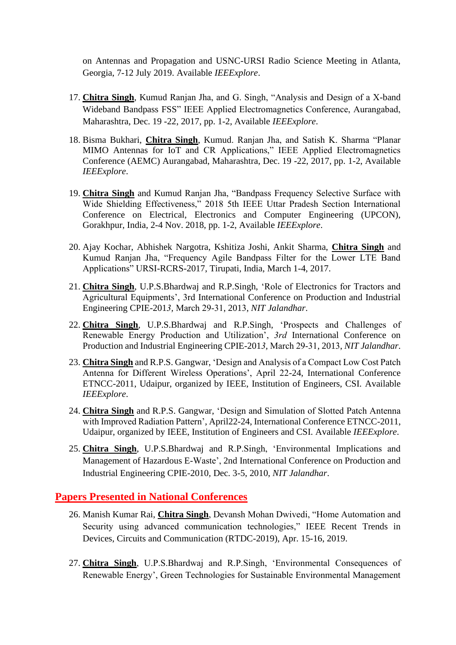on Antennas and Propagation and USNC-URSI Radio Science Meeting in Atlanta, Georgia, 7-12 July 2019. Available *IEEExplore*.

- 17. **Chitra Singh**, Kumud Ranjan Jha, and G. Singh, "Analysis and Design of a X-band Wideband Bandpass FSS" IEEE Applied Electromagnetics Conference, Aurangabad, Maharashtra, Dec. 19 -22, 2017, pp. 1-2, Available *IEEExplore*.
- 18. Bisma Bukhari, **Chitra Singh**, Kumud. Ranjan Jha, and Satish K. Sharma "Planar MIMO Antennas for IoT and CR Applications," IEEE Applied Electromagnetics Conference (AEMC) Aurangabad, Maharashtra, Dec. 19 -22, 2017, pp. 1-2, Available *IEEExplore*.
- 19. **Chitra Singh** and Kumud Ranjan Jha, "Bandpass Frequency Selective Surface with Wide Shielding Effectiveness," 2018 5th IEEE Uttar Pradesh Section International Conference on Electrical, Electronics and Computer Engineering (UPCON), Gorakhpur, India, 2-4 Nov. 2018, pp. 1-2, Available *IEEExplore*.
- 20. Ajay Kochar, Abhishek Nargotra, Kshitiza Joshi, Ankit Sharma, **Chitra Singh** and Kumud Ranjan Jha, "Frequency Agile Bandpass Filter for the Lower LTE Band Applications" URSI-RCRS-2017, Tirupati, India, March 1-4, 2017.
- 21. **Chitra Singh**, U.P.S.Bhardwaj and R.P.Singh, 'Role of Electronics for Tractors and Agricultural Equipments', 3rd International Conference on Production and Industrial Engineering CPIE-201*3,* March 29-31, 2013, *NIT Jalandhar*.
- 22. **Chitra Singh**, U.P.S.Bhardwaj and R.P.Singh, 'Prospects and Challenges of Renewable Energy Production and Utilization', *3rd* International Conference on Production and Industrial Engineering CPIE-201*3,* March 29-31, 2013, *NIT Jalandhar*.
- 23. **Chitra Singh** and R.P.S. Gangwar, 'Design and Analysis of a Compact Low Cost Patch Antenna for Different Wireless Operations', April 22-24, International Conference ETNCC-2011, Udaipur, organized by IEEE, Institution of Engineers, CSI. Available *IEEExplore*.
- 24. **Chitra Singh** and R.P.S. Gangwar, 'Design and Simulation of Slotted Patch Antenna with Improved Radiation Pattern', April22-24, International Conference ETNCC-2011, Udaipur, organized by IEEE, Institution of Engineers and CSI. Available *IEEExplore*.
- 25. **Chitra Singh**, U.P.S.Bhardwaj and R.P.Singh, 'Environmental Implications and Management of Hazardous E-Waste', 2nd International Conference on Production and Industrial Engineering CPIE-2010*,* Dec. 3-5, 2010, *NIT Jalandhar*.

#### **Papers Presented in National Conferences**

- 26. Manish Kumar Rai, **Chitra Singh**, Devansh Mohan Dwivedi, "Home Automation and Security using advanced communication technologies," IEEE Recent Trends in Devices, Circuits and Communication (RTDC-2019), Apr. 15-16, 2019.
- 27. **Chitra Singh**, U.P.S.Bhardwaj and R.P.Singh, 'Environmental Consequences of Renewable Energy', Green Technologies for Sustainable Environmental Management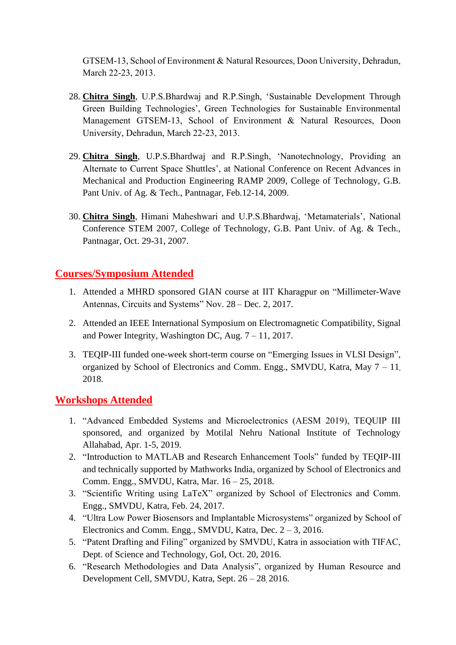GTSEM-13, School of Environment & Natural Resources, Doon University, Dehradun, March 22-23, 2013.

- 28. **Chitra Singh**, U.P.S.Bhardwaj and R.P.Singh, 'Sustainable Development Through Green Building Technologies', Green Technologies for Sustainable Environmental Management GTSEM-13, School of Environment & Natural Resources, Doon University, Dehradun, March 22-23, 2013.
- 29. **Chitra Singh**, U.P.S.Bhardwaj and R.P.Singh, 'Nanotechnology, Providing an Alternate to Current Space Shuttles', at National Conference on Recent Advances in Mechanical and Production Engineering RAMP 2009, College of Technology, G.B. Pant Univ. of Ag. & Tech., Pantnagar, Feb.12-14, 2009.
- 30. **Chitra Singh**, Himani Maheshwari and U.P.S.Bhardwaj, 'Metamaterials', National Conference STEM 2007, College of Technology, G.B. Pant Univ. of Ag. & Tech., Pantnagar, Oct. 29-31, 2007.

### **Courses/Symposium Attended**

- 1. Attended a MHRD sponsored GIAN course at IIT Kharagpur on "Millimeter-Wave Antennas, Circuits and Systems" Nov. 28 – Dec. 2, 2017.
- 2. Attended an IEEE International Symposium on Electromagnetic Compatibility, Signal and Power Integrity, Washington DC, Aug. 7 – 11, 2017.
- 3. TEQIP-III funded one-week short-term course on "Emerging Issues in VLSI Design", organized by School of Electronics and Comm. Engg., SMVDU, Katra, May 7 – 11, 2018.

#### **Workshops Attended**

- 1. "Advanced Embedded Systems and Microelectronics (AESM 2019), TEQUIP III sponsored, and organized by Motilal Nehru National Institute of Technology Allahabad, Apr. 1-5, 2019.
- 2. "Introduction to MATLAB and Research Enhancement Tools" funded by TEQIP-III and technically supported by Mathworks India, organized by School of Electronics and Comm. Engg., SMVDU, Katra, Mar. 16 – 25, 2018.
- 3. "Scientific Writing using LaTeX" organized by School of Electronics and Comm. Engg., SMVDU, Katra, Feb. 24, 2017.
- 4. "Ultra Low Power Biosensors and Implantable Microsystems" organized by School of Electronics and Comm. Engg., SMVDU, Katra, Dec. 2 – 3, 2016.
- 5. "Patent Drafting and Filing" organized by SMVDU, Katra in association with TIFAC, Dept. of Science and Technology, GoI, Oct. 20, 2016.
- 6. "Research Methodologies and Data Analysis", organized by Human Resource and Development Cell, SMVDU, Katra, Sept. 26 – 28, 2016.